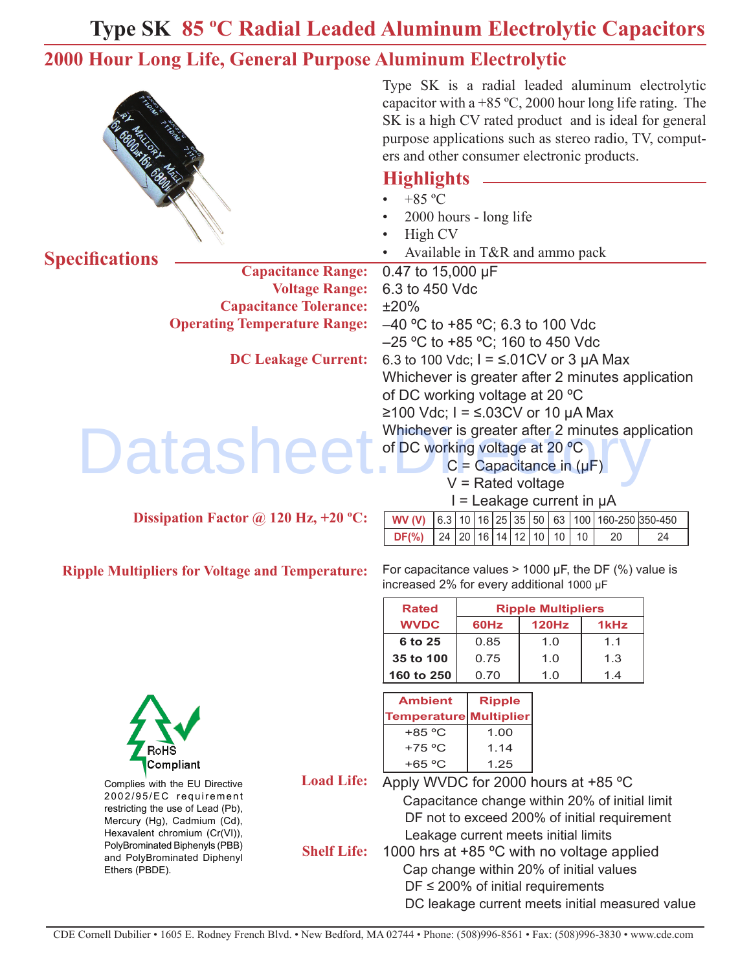### **2000 Hour Long Life, General Purpose Aluminum Electrolytic**

|                                                                  | Type SK is a radial leaded aluminum electrolytic<br>capacitor with a +85 °C, 2000 hour long life rating. The<br>SK is a high CV rated product and is ideal for general<br>purpose applications such as stereo radio, TV, comput-<br>ers and other consumer electronic products. |                                                                                                      |                      |                                                               |          |    |  |  |
|------------------------------------------------------------------|---------------------------------------------------------------------------------------------------------------------------------------------------------------------------------------------------------------------------------------------------------------------------------|------------------------------------------------------------------------------------------------------|----------------------|---------------------------------------------------------------|----------|----|--|--|
|                                                                  |                                                                                                                                                                                                                                                                                 | <b>Highlights</b>                                                                                    |                      |                                                               |          |    |  |  |
|                                                                  |                                                                                                                                                                                                                                                                                 | $+85$ °C                                                                                             |                      |                                                               |          |    |  |  |
|                                                                  |                                                                                                                                                                                                                                                                                 | 2000 hours - long life                                                                               |                      |                                                               |          |    |  |  |
|                                                                  |                                                                                                                                                                                                                                                                                 | High CV                                                                                              |                      |                                                               |          |    |  |  |
|                                                                  |                                                                                                                                                                                                                                                                                 |                                                                                                      |                      | Available in T&R and ammo pack                                |          |    |  |  |
| <b>Specifications</b>                                            | <b>Capacitance Range:</b>                                                                                                                                                                                                                                                       | 0.47 to 15,000 µF                                                                                    |                      |                                                               |          |    |  |  |
|                                                                  | <b>Voltage Range:</b>                                                                                                                                                                                                                                                           | 6.3 to 450 Vdc                                                                                       |                      |                                                               |          |    |  |  |
|                                                                  | <b>Capacitance Tolerance:</b>                                                                                                                                                                                                                                                   | ±20%                                                                                                 |                      |                                                               |          |    |  |  |
| <b>Operating Temperature Range:</b>                              |                                                                                                                                                                                                                                                                                 | $-40$ °C to +85 °C; 6.3 to 100 Vdc                                                                   |                      |                                                               |          |    |  |  |
|                                                                  |                                                                                                                                                                                                                                                                                 | -25 °C to +85 °C; 160 to 450 Vdc                                                                     |                      |                                                               |          |    |  |  |
|                                                                  | <b>DC Leakage Current:</b>                                                                                                                                                                                                                                                      | 6.3 to 100 Vdc; $I =$ ≤.01CV or 3 µA Max                                                             |                      |                                                               |          |    |  |  |
|                                                                  |                                                                                                                                                                                                                                                                                 | Whichever is greater after 2 minutes application                                                     |                      |                                                               |          |    |  |  |
|                                                                  |                                                                                                                                                                                                                                                                                 | of DC working voltage at 20 °C                                                                       |                      |                                                               |          |    |  |  |
|                                                                  |                                                                                                                                                                                                                                                                                 |                                                                                                      |                      |                                                               |          |    |  |  |
|                                                                  |                                                                                                                                                                                                                                                                                 | $≥100$ Vdc; I = $≤.03$ CV or 10 µA Max<br>Whichever is greater after 2 minutes application           |                      |                                                               |          |    |  |  |
| <b>Datasheet</b>                                                 |                                                                                                                                                                                                                                                                                 | of DC working voltage at 20 °C                                                                       |                      |                                                               |          |    |  |  |
|                                                                  |                                                                                                                                                                                                                                                                                 | $C =$ Capacitance in $(\mu F)$                                                                       |                      |                                                               |          |    |  |  |
|                                                                  |                                                                                                                                                                                                                                                                                 |                                                                                                      | $V =$ Rated voltage  |                                                               |          |    |  |  |
|                                                                  |                                                                                                                                                                                                                                                                                 |                                                                                                      |                      | $I =$ Leakage current in $\mu A$                              |          |    |  |  |
| Dissipation Factor $\omega$ 120 Hz, +20 °C:                      |                                                                                                                                                                                                                                                                                 |                                                                                                      |                      | $6.3$   10   16   25   35   50   63   100   160-250   350-450 |          |    |  |  |
|                                                                  |                                                                                                                                                                                                                                                                                 | WV(V)<br>$DF(\% )$                                                                                   | 24 20 16 14 12 10 10 |                                                               | 10<br>20 | 24 |  |  |
|                                                                  |                                                                                                                                                                                                                                                                                 |                                                                                                      |                      |                                                               |          |    |  |  |
| <b>Ripple Multipliers for Voltage and Temperature:</b>           |                                                                                                                                                                                                                                                                                 | For capacitance values $> 1000$ µF, the DF (%) value is<br>increased 2% for every additional 1000 µF |                      |                                                               |          |    |  |  |
|                                                                  |                                                                                                                                                                                                                                                                                 | <b>Rated</b>                                                                                         |                      | <b>Ripple Multipliers</b>                                     |          |    |  |  |
|                                                                  |                                                                                                                                                                                                                                                                                 | <b>WVDC</b>                                                                                          | 60Hz                 | <b>120Hz</b>                                                  | 1kHz     |    |  |  |
|                                                                  |                                                                                                                                                                                                                                                                                 | 6 to 25                                                                                              | 0.85                 | 1.0                                                           | 1.1      |    |  |  |
|                                                                  |                                                                                                                                                                                                                                                                                 | 35 to 100                                                                                            | 0.75                 | 1.0                                                           | 1.3      |    |  |  |
|                                                                  |                                                                                                                                                                                                                                                                                 | 160 to 250                                                                                           | 0.70                 | 1.0                                                           | 1.4      |    |  |  |
|                                                                  |                                                                                                                                                                                                                                                                                 | <b>Ambient</b>                                                                                       |                      |                                                               |          |    |  |  |
|                                                                  |                                                                                                                                                                                                                                                                                 | Temperature Multiplier                                                                               | <b>Ripple</b>        |                                                               |          |    |  |  |
|                                                                  |                                                                                                                                                                                                                                                                                 | $+85 °C$                                                                                             | 1.00                 |                                                               |          |    |  |  |
| RoHS                                                             |                                                                                                                                                                                                                                                                                 | $+75$ °C                                                                                             | 1.14                 |                                                               |          |    |  |  |
| Compliant                                                        |                                                                                                                                                                                                                                                                                 | $+65$ °C                                                                                             | 1.25                 |                                                               |          |    |  |  |
| Complies with the EU Directive                                   | <b>Load Life:</b>                                                                                                                                                                                                                                                               | Apply WVDC for 2000 hours at +85 °C                                                                  |                      |                                                               |          |    |  |  |
| 2002/95/EC requirement                                           |                                                                                                                                                                                                                                                                                 | Capacitance change within 20% of initial limit                                                       |                      |                                                               |          |    |  |  |
| restricting the use of Lead (Pb),<br>Mercury (Hg), Cadmium (Cd), |                                                                                                                                                                                                                                                                                 |                                                                                                      |                      | DF not to exceed 200% of initial requirement                  |          |    |  |  |
| Hexavalent chromium (Cr(VI)),                                    |                                                                                                                                                                                                                                                                                 |                                                                                                      |                      | Leakage current meets initial limits                          |          |    |  |  |
| PolyBrominated Biphenyls (PBB)                                   | <b>Shelf Life:</b>                                                                                                                                                                                                                                                              | 1000 hrs at $+85$ °C with no voltage applied                                                         |                      |                                                               |          |    |  |  |
| and PolyBrominated Diphenyl<br>Ethers (PBDE).                    |                                                                                                                                                                                                                                                                                 |                                                                                                      |                      | Cap change within 20% of initial values                       |          |    |  |  |
|                                                                  |                                                                                                                                                                                                                                                                                 |                                                                                                      |                      | $DF \leq 200\%$ of initial requirements                       |          |    |  |  |
|                                                                  |                                                                                                                                                                                                                                                                                 |                                                                                                      |                      | DC leakage current meets initial measured value               |          |    |  |  |
|                                                                  |                                                                                                                                                                                                                                                                                 |                                                                                                      |                      |                                                               |          |    |  |  |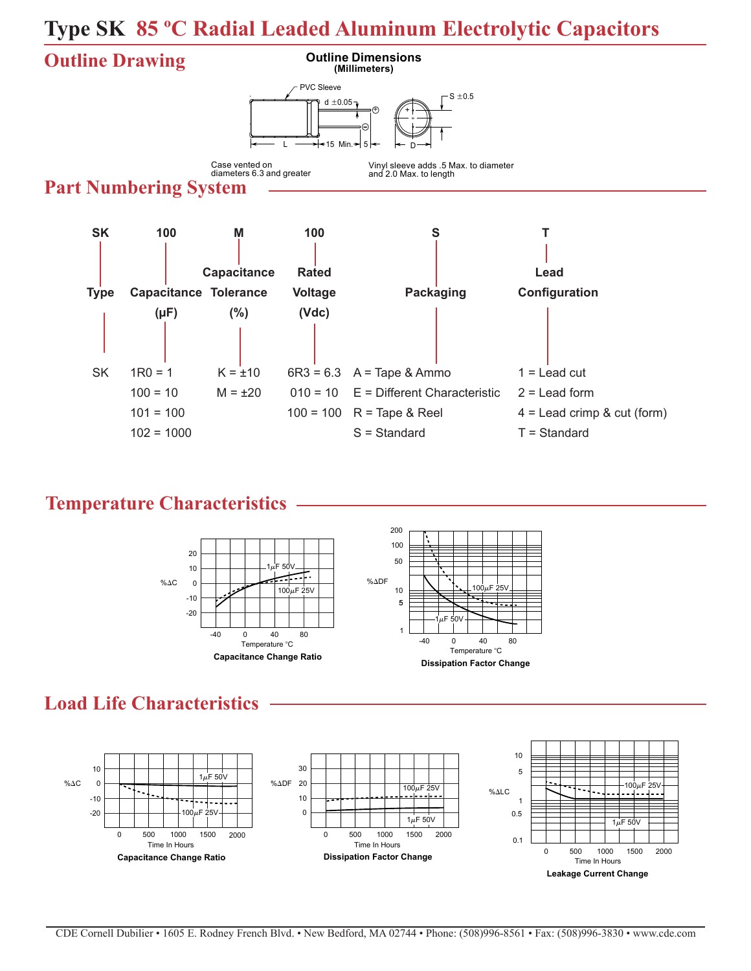#### **Outline Drawing**



**Outline Dimensions**

Vinyl sleeve adds .5 Max. to diameter and 2.0 Max. to length

#### **Part Numbering System** diameters 6.3 and greater



#### **Temperature Characteristics**



### **Load Life Characteristics**

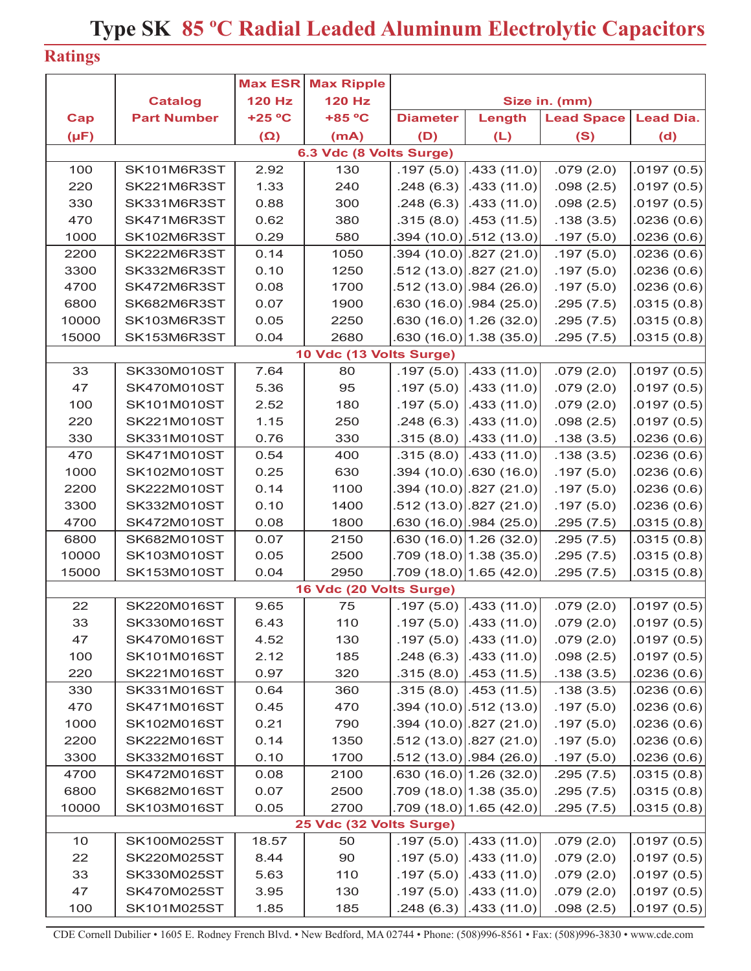#### **Ratings**

| <b>120 Hz</b><br><b>120 Hz</b><br><b>Catalog</b><br>Size in. (mm)<br><b>Lead Dia.</b><br>$+25 °C$<br>+85 °C<br><b>Lead Space</b><br><b>Part Number</b><br><b>Diameter</b><br>Cap<br>Length<br>$(\mu F)$<br>$(\Omega)$<br>(mA)<br>(D)<br>(d)<br>(L)<br>(S)<br>6.3 Vdc (8 Volts Surge)<br>100<br>2.92<br>.433(11.0)<br>.079(2.0)<br>SK101M6R3ST<br>130<br>.197(5.0)<br>220<br>1.33<br>240<br>$.248(6.3)$ .433 (11.0)<br>.098(2.5)<br>SK221M6R3ST<br>.0197(0.5)<br>330<br>0.88<br>300<br>$.248(6.3)$ .433 (11.0)<br>.098(2.5)<br>SK331M6R3ST<br>470<br>380<br>$.315(8.0)$ .453 (11.5)<br>.138(3.5)<br>.0236(0.6)<br>SK471M6R3ST<br>0.62<br>1000<br>SK102M6R3ST<br>0.29<br>.0236(0.6)<br>580<br>.394 (10.0) .512 (13.0) <br>.197(5.0)<br>0.14<br>$.394(10.0)$ .827 $(21.0)$<br>2200<br>SK222M6R3ST<br>1050<br>.197(5.0)<br>.0236(0.6)<br>.512 (13.0) $ .827$ (21.0) $ $<br>0.10<br>.197(5.0)<br>.0236(0.6)<br>3300<br>SK332M6R3ST<br>1250<br>.512 (13.0) $ .984$ (26.0) $ $<br>.0236(0.6)<br>4700<br>0.08<br>1700<br>.197(5.0)<br>SK472M6R3ST<br>.630 (16.0) 984 (25.0)<br>6800<br>0.07<br>1900<br>.0315(0.8)<br>SK682M6R3ST<br>.295(7.5)<br>.630(16.0) 1.26(32.0)<br>.0315(0.8)<br>10000<br>0.05<br>.295(7.5)<br>SK103M6R3ST<br>2250<br>SK153M6R3ST<br>.630 (16.0) 1.38 (35.0)<br>.0315(0.8)<br>15000<br>0.04<br>2680<br>.295(7.5)<br>10 Vdc (13 Volts Surge)<br>33<br>SK330M010ST<br>7.64<br>$.197(5.0)$ $.433(11.0)$<br>.079(2.0)<br>.0197(0.5)<br>80<br>$.197(5.0)$ .433 (11.0)<br>.079(2.0)<br>.0197(0.5)<br>47<br><b>SK470M010ST</b><br>5.36<br>95<br>$\vert .433 \ (11.0) \vert$<br>100<br><b>SK101M010ST</b><br>180<br>.197(5.0)<br>.079(2.0)<br>.0197(0.5)<br>2.52<br>220<br>SK221M010ST<br>1.15<br>250<br>$.248(6.3)$ .433 (11.0)<br>.098(2.5)<br>.0197(0.5)<br>330<br>SK331M010ST<br>0.76<br>330<br>$.315(8.0)$ $.433(11.0)$<br>.138(3.5)<br>.0236(0.6)<br>470<br>0.54<br>400<br>$.315(8.0)$ .433 (11.0)<br>SK471M010ST<br>.138(3.5)<br>.0236(0.6)<br>1000<br>SK102M010ST<br>0.25<br>630<br>.394 (10.0) $ .630$ (16.0)<br>.0236(0.6)<br>.197(5.0)<br>1100<br>.394 (10.0) 827 (21.0)<br>2200<br>SK222M010ST<br>0.14<br>.197(5.0)<br>.0236(0.6)<br>.512 (13.0) 827 (21.0)<br>0.10<br>.197(5.0)<br>.0236(0.6)<br>3300<br>SK332M010ST<br>1400<br>4700<br>0.08<br>1800<br>.630 (16.0) .984 (25.0) <br>.295(7.5)<br>.0315(0.8)<br>SK472M010ST<br>.630 (16.0) 1.26 (32.0)<br>6800<br>0.07<br>.295(7.5)<br>.0315(0.8)<br>SK682M010ST<br>2150<br>$.709(18.0)$ 1.38 (35.0)<br>.0315(0.8)<br>10000<br>SK103M010ST<br>0.05<br>.295(7.5)<br>2500<br>SK153M010ST<br>.709(18.0) 1.65(42.0) <br>.0315(0.8)<br>15000<br>0.04<br>2950<br>.295(7.5)<br>16 Vdc (20 Volts Surge)<br>$.197(5.0)$ .433 (11.0)<br>22<br>9.65<br>.079(2.0)<br>.0197(0.5)<br><b>SK220M016ST</b><br>75<br>33<br>.197 (5.0) $\big  .433 \left( 11.0 \right) \big $<br>$.079(2.0)$ $.0197(0.5)$<br>SK330M016ST<br>6.43<br>110<br>47<br>130<br>$.197(5.0)$ $.433(11.0)$<br>.0197(0.5)<br><b>SK470M016ST</b><br>4.52<br>.079(2.0)<br>2.12<br>185<br>100<br>SK101M016ST<br>$.248(6.3)$ .433 (11.0)<br>.098(2.5)<br>.0197(0.5)<br>220<br>0.97<br>320<br>.0236(0.6)<br>SK221M016ST<br>$.315(8.0)$ $.453(11.5)$<br>.138(3.5)<br>330<br>SK331M016ST<br>0.64<br>360<br>$.315(8.0)$ $.453(11.5)$<br>.138(3.5)<br>.0236(0.6)<br>470<br>470<br>.394 (10.0) .512 (13.0) <br>SK471M016ST<br>0.45<br>.197(5.0)<br>.0236(0.6)<br>0.21<br>.394 (10.0) 827 (21.0)<br>1000<br>SK102M016ST<br>790<br>.0236(0.6)<br>.197(5.0)<br>.512 (13.0) $ .827$ (21.0) $ $<br>0.14<br>.0236(0.6)<br>2200<br>SK222M016ST<br>1350<br>.197(5.0)<br>3300<br>SK332M016ST<br>0.10<br>1700<br>.512 (13.0) .984 (26.0) <br>.197(5.0)<br>.0236(0.6)<br>.630 (16.0) 1.26 (32.0) <br>4700<br>SK472M016ST<br>0.08<br>2100<br>.295(7.5)<br>.0315(0.8)<br>6800<br>0.07<br>$.709(18.0)$ 1.38 (35.0)<br>SK682M016ST<br>2500<br>.295(7.5)<br>.0315(0.8)<br>.709 (18.0) 1.65 (42.0)<br>10000<br>SK103M016ST<br>0.05<br>2700<br>.0315(0.8)<br>.295(7.5)<br>25 Vdc (32 Volts Surge)<br>10<br>SK100M025ST<br>18.57<br>50<br>$.197(5.0)$ $.433(11.0)$<br>.079(2.0)<br>.0197(0.5)<br>22<br>90<br>8.44<br>$.197(5.0)$ $.433(11.0)$<br>.079(2.0)<br>.0197(0.5)<br><b>SK220M025ST</b><br>$.197(5.0)$ $.433(11.0)$<br>33<br>SK330M025ST<br>5.63<br>110<br>.079(2.0)<br>.0197(0.5)<br>47<br>3.95<br>130<br>$.197(5.0)$ $.433(11.0)$<br>.0197(0.5)<br><b>SK470M025ST</b><br>.079(2.0)<br>100<br>1.85<br>185<br>SK101M025ST<br>$.248(6.3)$ .433 (11.0)<br>.098(2.5)<br>.0197(0.5) |  | <b>Max ESR Max Ripple</b> |  |  |  |            |
|--------------------------------------------------------------------------------------------------------------------------------------------------------------------------------------------------------------------------------------------------------------------------------------------------------------------------------------------------------------------------------------------------------------------------------------------------------------------------------------------------------------------------------------------------------------------------------------------------------------------------------------------------------------------------------------------------------------------------------------------------------------------------------------------------------------------------------------------------------------------------------------------------------------------------------------------------------------------------------------------------------------------------------------------------------------------------------------------------------------------------------------------------------------------------------------------------------------------------------------------------------------------------------------------------------------------------------------------------------------------------------------------------------------------------------------------------------------------------------------------------------------------------------------------------------------------------------------------------------------------------------------------------------------------------------------------------------------------------------------------------------------------------------------------------------------------------------------------------------------------------------------------------------------------------------------------------------------------------------------------------------------------------------------------------------------------------------------------------------------------------------------------------------------------------------------------------------------------------------------------------------------------------------------------------------------------------------------------------------------------------------------------------------------------------------------------------------------------------------------------------------------------------------------------------------------------------------------------------------------------------------------------------------------------------------------------------------------------------------------------------------------------------------------------------------------------------------------------------------------------------------------------------------------------------------------------------------------------------------------------------------------------------------------------------------------------------------------------------------------------------------------------------------------------------------------------------------------------------------------------------------------------------------------------------------------------------------------------------------------------------------------------------------------------------------------------------------------------------------------------------------------------------------------------------------------------------------------------------------------------------------------------------------------------------------------------------------------------------------------------------------------------------------------------------------------------------------------------------------------------------------------------------------------------------------------------------------------------------------------------------------------------------------------------------------------------------------------------------------------------------------------------------------------------------------------------------------------------------------------------------------------------------------------------------------------------------------------------------------------------------------------------------------------------------------------------------------------------------------|--|---------------------------|--|--|--|------------|
|                                                                                                                                                                                                                                                                                                                                                                                                                                                                                                                                                                                                                                                                                                                                                                                                                                                                                                                                                                                                                                                                                                                                                                                                                                                                                                                                                                                                                                                                                                                                                                                                                                                                                                                                                                                                                                                                                                                                                                                                                                                                                                                                                                                                                                                                                                                                                                                                                                                                                                                                                                                                                                                                                                                                                                                                                                                                                                                                                                                                                                                                                                                                                                                                                                                                                                                                                                                                                                                                                                                                                                                                                                                                                                                                                                                                                                                                                                                                                                                                                                                                                                                                                                                                                                                                                                                                                                                                                                                                                |  |                           |  |  |  |            |
|                                                                                                                                                                                                                                                                                                                                                                                                                                                                                                                                                                                                                                                                                                                                                                                                                                                                                                                                                                                                                                                                                                                                                                                                                                                                                                                                                                                                                                                                                                                                                                                                                                                                                                                                                                                                                                                                                                                                                                                                                                                                                                                                                                                                                                                                                                                                                                                                                                                                                                                                                                                                                                                                                                                                                                                                                                                                                                                                                                                                                                                                                                                                                                                                                                                                                                                                                                                                                                                                                                                                                                                                                                                                                                                                                                                                                                                                                                                                                                                                                                                                                                                                                                                                                                                                                                                                                                                                                                                                                |  |                           |  |  |  |            |
|                                                                                                                                                                                                                                                                                                                                                                                                                                                                                                                                                                                                                                                                                                                                                                                                                                                                                                                                                                                                                                                                                                                                                                                                                                                                                                                                                                                                                                                                                                                                                                                                                                                                                                                                                                                                                                                                                                                                                                                                                                                                                                                                                                                                                                                                                                                                                                                                                                                                                                                                                                                                                                                                                                                                                                                                                                                                                                                                                                                                                                                                                                                                                                                                                                                                                                                                                                                                                                                                                                                                                                                                                                                                                                                                                                                                                                                                                                                                                                                                                                                                                                                                                                                                                                                                                                                                                                                                                                                                                |  |                           |  |  |  |            |
|                                                                                                                                                                                                                                                                                                                                                                                                                                                                                                                                                                                                                                                                                                                                                                                                                                                                                                                                                                                                                                                                                                                                                                                                                                                                                                                                                                                                                                                                                                                                                                                                                                                                                                                                                                                                                                                                                                                                                                                                                                                                                                                                                                                                                                                                                                                                                                                                                                                                                                                                                                                                                                                                                                                                                                                                                                                                                                                                                                                                                                                                                                                                                                                                                                                                                                                                                                                                                                                                                                                                                                                                                                                                                                                                                                                                                                                                                                                                                                                                                                                                                                                                                                                                                                                                                                                                                                                                                                                                                |  |                           |  |  |  |            |
|                                                                                                                                                                                                                                                                                                                                                                                                                                                                                                                                                                                                                                                                                                                                                                                                                                                                                                                                                                                                                                                                                                                                                                                                                                                                                                                                                                                                                                                                                                                                                                                                                                                                                                                                                                                                                                                                                                                                                                                                                                                                                                                                                                                                                                                                                                                                                                                                                                                                                                                                                                                                                                                                                                                                                                                                                                                                                                                                                                                                                                                                                                                                                                                                                                                                                                                                                                                                                                                                                                                                                                                                                                                                                                                                                                                                                                                                                                                                                                                                                                                                                                                                                                                                                                                                                                                                                                                                                                                                                |  |                           |  |  |  | .0197(0.5) |
|                                                                                                                                                                                                                                                                                                                                                                                                                                                                                                                                                                                                                                                                                                                                                                                                                                                                                                                                                                                                                                                                                                                                                                                                                                                                                                                                                                                                                                                                                                                                                                                                                                                                                                                                                                                                                                                                                                                                                                                                                                                                                                                                                                                                                                                                                                                                                                                                                                                                                                                                                                                                                                                                                                                                                                                                                                                                                                                                                                                                                                                                                                                                                                                                                                                                                                                                                                                                                                                                                                                                                                                                                                                                                                                                                                                                                                                                                                                                                                                                                                                                                                                                                                                                                                                                                                                                                                                                                                                                                |  |                           |  |  |  | .0197(0.5) |
|                                                                                                                                                                                                                                                                                                                                                                                                                                                                                                                                                                                                                                                                                                                                                                                                                                                                                                                                                                                                                                                                                                                                                                                                                                                                                                                                                                                                                                                                                                                                                                                                                                                                                                                                                                                                                                                                                                                                                                                                                                                                                                                                                                                                                                                                                                                                                                                                                                                                                                                                                                                                                                                                                                                                                                                                                                                                                                                                                                                                                                                                                                                                                                                                                                                                                                                                                                                                                                                                                                                                                                                                                                                                                                                                                                                                                                                                                                                                                                                                                                                                                                                                                                                                                                                                                                                                                                                                                                                                                |  |                           |  |  |  |            |
|                                                                                                                                                                                                                                                                                                                                                                                                                                                                                                                                                                                                                                                                                                                                                                                                                                                                                                                                                                                                                                                                                                                                                                                                                                                                                                                                                                                                                                                                                                                                                                                                                                                                                                                                                                                                                                                                                                                                                                                                                                                                                                                                                                                                                                                                                                                                                                                                                                                                                                                                                                                                                                                                                                                                                                                                                                                                                                                                                                                                                                                                                                                                                                                                                                                                                                                                                                                                                                                                                                                                                                                                                                                                                                                                                                                                                                                                                                                                                                                                                                                                                                                                                                                                                                                                                                                                                                                                                                                                                |  |                           |  |  |  |            |
|                                                                                                                                                                                                                                                                                                                                                                                                                                                                                                                                                                                                                                                                                                                                                                                                                                                                                                                                                                                                                                                                                                                                                                                                                                                                                                                                                                                                                                                                                                                                                                                                                                                                                                                                                                                                                                                                                                                                                                                                                                                                                                                                                                                                                                                                                                                                                                                                                                                                                                                                                                                                                                                                                                                                                                                                                                                                                                                                                                                                                                                                                                                                                                                                                                                                                                                                                                                                                                                                                                                                                                                                                                                                                                                                                                                                                                                                                                                                                                                                                                                                                                                                                                                                                                                                                                                                                                                                                                                                                |  |                           |  |  |  |            |
|                                                                                                                                                                                                                                                                                                                                                                                                                                                                                                                                                                                                                                                                                                                                                                                                                                                                                                                                                                                                                                                                                                                                                                                                                                                                                                                                                                                                                                                                                                                                                                                                                                                                                                                                                                                                                                                                                                                                                                                                                                                                                                                                                                                                                                                                                                                                                                                                                                                                                                                                                                                                                                                                                                                                                                                                                                                                                                                                                                                                                                                                                                                                                                                                                                                                                                                                                                                                                                                                                                                                                                                                                                                                                                                                                                                                                                                                                                                                                                                                                                                                                                                                                                                                                                                                                                                                                                                                                                                                                |  |                           |  |  |  |            |
|                                                                                                                                                                                                                                                                                                                                                                                                                                                                                                                                                                                                                                                                                                                                                                                                                                                                                                                                                                                                                                                                                                                                                                                                                                                                                                                                                                                                                                                                                                                                                                                                                                                                                                                                                                                                                                                                                                                                                                                                                                                                                                                                                                                                                                                                                                                                                                                                                                                                                                                                                                                                                                                                                                                                                                                                                                                                                                                                                                                                                                                                                                                                                                                                                                                                                                                                                                                                                                                                                                                                                                                                                                                                                                                                                                                                                                                                                                                                                                                                                                                                                                                                                                                                                                                                                                                                                                                                                                                                                |  |                           |  |  |  |            |
|                                                                                                                                                                                                                                                                                                                                                                                                                                                                                                                                                                                                                                                                                                                                                                                                                                                                                                                                                                                                                                                                                                                                                                                                                                                                                                                                                                                                                                                                                                                                                                                                                                                                                                                                                                                                                                                                                                                                                                                                                                                                                                                                                                                                                                                                                                                                                                                                                                                                                                                                                                                                                                                                                                                                                                                                                                                                                                                                                                                                                                                                                                                                                                                                                                                                                                                                                                                                                                                                                                                                                                                                                                                                                                                                                                                                                                                                                                                                                                                                                                                                                                                                                                                                                                                                                                                                                                                                                                                                                |  |                           |  |  |  |            |
|                                                                                                                                                                                                                                                                                                                                                                                                                                                                                                                                                                                                                                                                                                                                                                                                                                                                                                                                                                                                                                                                                                                                                                                                                                                                                                                                                                                                                                                                                                                                                                                                                                                                                                                                                                                                                                                                                                                                                                                                                                                                                                                                                                                                                                                                                                                                                                                                                                                                                                                                                                                                                                                                                                                                                                                                                                                                                                                                                                                                                                                                                                                                                                                                                                                                                                                                                                                                                                                                                                                                                                                                                                                                                                                                                                                                                                                                                                                                                                                                                                                                                                                                                                                                                                                                                                                                                                                                                                                                                |  |                           |  |  |  |            |
|                                                                                                                                                                                                                                                                                                                                                                                                                                                                                                                                                                                                                                                                                                                                                                                                                                                                                                                                                                                                                                                                                                                                                                                                                                                                                                                                                                                                                                                                                                                                                                                                                                                                                                                                                                                                                                                                                                                                                                                                                                                                                                                                                                                                                                                                                                                                                                                                                                                                                                                                                                                                                                                                                                                                                                                                                                                                                                                                                                                                                                                                                                                                                                                                                                                                                                                                                                                                                                                                                                                                                                                                                                                                                                                                                                                                                                                                                                                                                                                                                                                                                                                                                                                                                                                                                                                                                                                                                                                                                |  |                           |  |  |  |            |
|                                                                                                                                                                                                                                                                                                                                                                                                                                                                                                                                                                                                                                                                                                                                                                                                                                                                                                                                                                                                                                                                                                                                                                                                                                                                                                                                                                                                                                                                                                                                                                                                                                                                                                                                                                                                                                                                                                                                                                                                                                                                                                                                                                                                                                                                                                                                                                                                                                                                                                                                                                                                                                                                                                                                                                                                                                                                                                                                                                                                                                                                                                                                                                                                                                                                                                                                                                                                                                                                                                                                                                                                                                                                                                                                                                                                                                                                                                                                                                                                                                                                                                                                                                                                                                                                                                                                                                                                                                                                                |  |                           |  |  |  |            |
|                                                                                                                                                                                                                                                                                                                                                                                                                                                                                                                                                                                                                                                                                                                                                                                                                                                                                                                                                                                                                                                                                                                                                                                                                                                                                                                                                                                                                                                                                                                                                                                                                                                                                                                                                                                                                                                                                                                                                                                                                                                                                                                                                                                                                                                                                                                                                                                                                                                                                                                                                                                                                                                                                                                                                                                                                                                                                                                                                                                                                                                                                                                                                                                                                                                                                                                                                                                                                                                                                                                                                                                                                                                                                                                                                                                                                                                                                                                                                                                                                                                                                                                                                                                                                                                                                                                                                                                                                                                                                |  |                           |  |  |  |            |
|                                                                                                                                                                                                                                                                                                                                                                                                                                                                                                                                                                                                                                                                                                                                                                                                                                                                                                                                                                                                                                                                                                                                                                                                                                                                                                                                                                                                                                                                                                                                                                                                                                                                                                                                                                                                                                                                                                                                                                                                                                                                                                                                                                                                                                                                                                                                                                                                                                                                                                                                                                                                                                                                                                                                                                                                                                                                                                                                                                                                                                                                                                                                                                                                                                                                                                                                                                                                                                                                                                                                                                                                                                                                                                                                                                                                                                                                                                                                                                                                                                                                                                                                                                                                                                                                                                                                                                                                                                                                                |  |                           |  |  |  |            |
|                                                                                                                                                                                                                                                                                                                                                                                                                                                                                                                                                                                                                                                                                                                                                                                                                                                                                                                                                                                                                                                                                                                                                                                                                                                                                                                                                                                                                                                                                                                                                                                                                                                                                                                                                                                                                                                                                                                                                                                                                                                                                                                                                                                                                                                                                                                                                                                                                                                                                                                                                                                                                                                                                                                                                                                                                                                                                                                                                                                                                                                                                                                                                                                                                                                                                                                                                                                                                                                                                                                                                                                                                                                                                                                                                                                                                                                                                                                                                                                                                                                                                                                                                                                                                                                                                                                                                                                                                                                                                |  |                           |  |  |  |            |
|                                                                                                                                                                                                                                                                                                                                                                                                                                                                                                                                                                                                                                                                                                                                                                                                                                                                                                                                                                                                                                                                                                                                                                                                                                                                                                                                                                                                                                                                                                                                                                                                                                                                                                                                                                                                                                                                                                                                                                                                                                                                                                                                                                                                                                                                                                                                                                                                                                                                                                                                                                                                                                                                                                                                                                                                                                                                                                                                                                                                                                                                                                                                                                                                                                                                                                                                                                                                                                                                                                                                                                                                                                                                                                                                                                                                                                                                                                                                                                                                                                                                                                                                                                                                                                                                                                                                                                                                                                                                                |  |                           |  |  |  |            |
|                                                                                                                                                                                                                                                                                                                                                                                                                                                                                                                                                                                                                                                                                                                                                                                                                                                                                                                                                                                                                                                                                                                                                                                                                                                                                                                                                                                                                                                                                                                                                                                                                                                                                                                                                                                                                                                                                                                                                                                                                                                                                                                                                                                                                                                                                                                                                                                                                                                                                                                                                                                                                                                                                                                                                                                                                                                                                                                                                                                                                                                                                                                                                                                                                                                                                                                                                                                                                                                                                                                                                                                                                                                                                                                                                                                                                                                                                                                                                                                                                                                                                                                                                                                                                                                                                                                                                                                                                                                                                |  |                           |  |  |  |            |
|                                                                                                                                                                                                                                                                                                                                                                                                                                                                                                                                                                                                                                                                                                                                                                                                                                                                                                                                                                                                                                                                                                                                                                                                                                                                                                                                                                                                                                                                                                                                                                                                                                                                                                                                                                                                                                                                                                                                                                                                                                                                                                                                                                                                                                                                                                                                                                                                                                                                                                                                                                                                                                                                                                                                                                                                                                                                                                                                                                                                                                                                                                                                                                                                                                                                                                                                                                                                                                                                                                                                                                                                                                                                                                                                                                                                                                                                                                                                                                                                                                                                                                                                                                                                                                                                                                                                                                                                                                                                                |  |                           |  |  |  |            |
|                                                                                                                                                                                                                                                                                                                                                                                                                                                                                                                                                                                                                                                                                                                                                                                                                                                                                                                                                                                                                                                                                                                                                                                                                                                                                                                                                                                                                                                                                                                                                                                                                                                                                                                                                                                                                                                                                                                                                                                                                                                                                                                                                                                                                                                                                                                                                                                                                                                                                                                                                                                                                                                                                                                                                                                                                                                                                                                                                                                                                                                                                                                                                                                                                                                                                                                                                                                                                                                                                                                                                                                                                                                                                                                                                                                                                                                                                                                                                                                                                                                                                                                                                                                                                                                                                                                                                                                                                                                                                |  |                           |  |  |  |            |
|                                                                                                                                                                                                                                                                                                                                                                                                                                                                                                                                                                                                                                                                                                                                                                                                                                                                                                                                                                                                                                                                                                                                                                                                                                                                                                                                                                                                                                                                                                                                                                                                                                                                                                                                                                                                                                                                                                                                                                                                                                                                                                                                                                                                                                                                                                                                                                                                                                                                                                                                                                                                                                                                                                                                                                                                                                                                                                                                                                                                                                                                                                                                                                                                                                                                                                                                                                                                                                                                                                                                                                                                                                                                                                                                                                                                                                                                                                                                                                                                                                                                                                                                                                                                                                                                                                                                                                                                                                                                                |  |                           |  |  |  |            |
|                                                                                                                                                                                                                                                                                                                                                                                                                                                                                                                                                                                                                                                                                                                                                                                                                                                                                                                                                                                                                                                                                                                                                                                                                                                                                                                                                                                                                                                                                                                                                                                                                                                                                                                                                                                                                                                                                                                                                                                                                                                                                                                                                                                                                                                                                                                                                                                                                                                                                                                                                                                                                                                                                                                                                                                                                                                                                                                                                                                                                                                                                                                                                                                                                                                                                                                                                                                                                                                                                                                                                                                                                                                                                                                                                                                                                                                                                                                                                                                                                                                                                                                                                                                                                                                                                                                                                                                                                                                                                |  |                           |  |  |  |            |
|                                                                                                                                                                                                                                                                                                                                                                                                                                                                                                                                                                                                                                                                                                                                                                                                                                                                                                                                                                                                                                                                                                                                                                                                                                                                                                                                                                                                                                                                                                                                                                                                                                                                                                                                                                                                                                                                                                                                                                                                                                                                                                                                                                                                                                                                                                                                                                                                                                                                                                                                                                                                                                                                                                                                                                                                                                                                                                                                                                                                                                                                                                                                                                                                                                                                                                                                                                                                                                                                                                                                                                                                                                                                                                                                                                                                                                                                                                                                                                                                                                                                                                                                                                                                                                                                                                                                                                                                                                                                                |  |                           |  |  |  |            |
|                                                                                                                                                                                                                                                                                                                                                                                                                                                                                                                                                                                                                                                                                                                                                                                                                                                                                                                                                                                                                                                                                                                                                                                                                                                                                                                                                                                                                                                                                                                                                                                                                                                                                                                                                                                                                                                                                                                                                                                                                                                                                                                                                                                                                                                                                                                                                                                                                                                                                                                                                                                                                                                                                                                                                                                                                                                                                                                                                                                                                                                                                                                                                                                                                                                                                                                                                                                                                                                                                                                                                                                                                                                                                                                                                                                                                                                                                                                                                                                                                                                                                                                                                                                                                                                                                                                                                                                                                                                                                |  |                           |  |  |  |            |
|                                                                                                                                                                                                                                                                                                                                                                                                                                                                                                                                                                                                                                                                                                                                                                                                                                                                                                                                                                                                                                                                                                                                                                                                                                                                                                                                                                                                                                                                                                                                                                                                                                                                                                                                                                                                                                                                                                                                                                                                                                                                                                                                                                                                                                                                                                                                                                                                                                                                                                                                                                                                                                                                                                                                                                                                                                                                                                                                                                                                                                                                                                                                                                                                                                                                                                                                                                                                                                                                                                                                                                                                                                                                                                                                                                                                                                                                                                                                                                                                                                                                                                                                                                                                                                                                                                                                                                                                                                                                                |  |                           |  |  |  |            |
|                                                                                                                                                                                                                                                                                                                                                                                                                                                                                                                                                                                                                                                                                                                                                                                                                                                                                                                                                                                                                                                                                                                                                                                                                                                                                                                                                                                                                                                                                                                                                                                                                                                                                                                                                                                                                                                                                                                                                                                                                                                                                                                                                                                                                                                                                                                                                                                                                                                                                                                                                                                                                                                                                                                                                                                                                                                                                                                                                                                                                                                                                                                                                                                                                                                                                                                                                                                                                                                                                                                                                                                                                                                                                                                                                                                                                                                                                                                                                                                                                                                                                                                                                                                                                                                                                                                                                                                                                                                                                |  |                           |  |  |  |            |
|                                                                                                                                                                                                                                                                                                                                                                                                                                                                                                                                                                                                                                                                                                                                                                                                                                                                                                                                                                                                                                                                                                                                                                                                                                                                                                                                                                                                                                                                                                                                                                                                                                                                                                                                                                                                                                                                                                                                                                                                                                                                                                                                                                                                                                                                                                                                                                                                                                                                                                                                                                                                                                                                                                                                                                                                                                                                                                                                                                                                                                                                                                                                                                                                                                                                                                                                                                                                                                                                                                                                                                                                                                                                                                                                                                                                                                                                                                                                                                                                                                                                                                                                                                                                                                                                                                                                                                                                                                                                                |  |                           |  |  |  |            |
|                                                                                                                                                                                                                                                                                                                                                                                                                                                                                                                                                                                                                                                                                                                                                                                                                                                                                                                                                                                                                                                                                                                                                                                                                                                                                                                                                                                                                                                                                                                                                                                                                                                                                                                                                                                                                                                                                                                                                                                                                                                                                                                                                                                                                                                                                                                                                                                                                                                                                                                                                                                                                                                                                                                                                                                                                                                                                                                                                                                                                                                                                                                                                                                                                                                                                                                                                                                                                                                                                                                                                                                                                                                                                                                                                                                                                                                                                                                                                                                                                                                                                                                                                                                                                                                                                                                                                                                                                                                                                |  |                           |  |  |  |            |
|                                                                                                                                                                                                                                                                                                                                                                                                                                                                                                                                                                                                                                                                                                                                                                                                                                                                                                                                                                                                                                                                                                                                                                                                                                                                                                                                                                                                                                                                                                                                                                                                                                                                                                                                                                                                                                                                                                                                                                                                                                                                                                                                                                                                                                                                                                                                                                                                                                                                                                                                                                                                                                                                                                                                                                                                                                                                                                                                                                                                                                                                                                                                                                                                                                                                                                                                                                                                                                                                                                                                                                                                                                                                                                                                                                                                                                                                                                                                                                                                                                                                                                                                                                                                                                                                                                                                                                                                                                                                                |  |                           |  |  |  |            |
|                                                                                                                                                                                                                                                                                                                                                                                                                                                                                                                                                                                                                                                                                                                                                                                                                                                                                                                                                                                                                                                                                                                                                                                                                                                                                                                                                                                                                                                                                                                                                                                                                                                                                                                                                                                                                                                                                                                                                                                                                                                                                                                                                                                                                                                                                                                                                                                                                                                                                                                                                                                                                                                                                                                                                                                                                                                                                                                                                                                                                                                                                                                                                                                                                                                                                                                                                                                                                                                                                                                                                                                                                                                                                                                                                                                                                                                                                                                                                                                                                                                                                                                                                                                                                                                                                                                                                                                                                                                                                |  |                           |  |  |  |            |
|                                                                                                                                                                                                                                                                                                                                                                                                                                                                                                                                                                                                                                                                                                                                                                                                                                                                                                                                                                                                                                                                                                                                                                                                                                                                                                                                                                                                                                                                                                                                                                                                                                                                                                                                                                                                                                                                                                                                                                                                                                                                                                                                                                                                                                                                                                                                                                                                                                                                                                                                                                                                                                                                                                                                                                                                                                                                                                                                                                                                                                                                                                                                                                                                                                                                                                                                                                                                                                                                                                                                                                                                                                                                                                                                                                                                                                                                                                                                                                                                                                                                                                                                                                                                                                                                                                                                                                                                                                                                                |  |                           |  |  |  |            |
|                                                                                                                                                                                                                                                                                                                                                                                                                                                                                                                                                                                                                                                                                                                                                                                                                                                                                                                                                                                                                                                                                                                                                                                                                                                                                                                                                                                                                                                                                                                                                                                                                                                                                                                                                                                                                                                                                                                                                                                                                                                                                                                                                                                                                                                                                                                                                                                                                                                                                                                                                                                                                                                                                                                                                                                                                                                                                                                                                                                                                                                                                                                                                                                                                                                                                                                                                                                                                                                                                                                                                                                                                                                                                                                                                                                                                                                                                                                                                                                                                                                                                                                                                                                                                                                                                                                                                                                                                                                                                |  |                           |  |  |  |            |
|                                                                                                                                                                                                                                                                                                                                                                                                                                                                                                                                                                                                                                                                                                                                                                                                                                                                                                                                                                                                                                                                                                                                                                                                                                                                                                                                                                                                                                                                                                                                                                                                                                                                                                                                                                                                                                                                                                                                                                                                                                                                                                                                                                                                                                                                                                                                                                                                                                                                                                                                                                                                                                                                                                                                                                                                                                                                                                                                                                                                                                                                                                                                                                                                                                                                                                                                                                                                                                                                                                                                                                                                                                                                                                                                                                                                                                                                                                                                                                                                                                                                                                                                                                                                                                                                                                                                                                                                                                                                                |  |                           |  |  |  |            |
|                                                                                                                                                                                                                                                                                                                                                                                                                                                                                                                                                                                                                                                                                                                                                                                                                                                                                                                                                                                                                                                                                                                                                                                                                                                                                                                                                                                                                                                                                                                                                                                                                                                                                                                                                                                                                                                                                                                                                                                                                                                                                                                                                                                                                                                                                                                                                                                                                                                                                                                                                                                                                                                                                                                                                                                                                                                                                                                                                                                                                                                                                                                                                                                                                                                                                                                                                                                                                                                                                                                                                                                                                                                                                                                                                                                                                                                                                                                                                                                                                                                                                                                                                                                                                                                                                                                                                                                                                                                                                |  |                           |  |  |  |            |
|                                                                                                                                                                                                                                                                                                                                                                                                                                                                                                                                                                                                                                                                                                                                                                                                                                                                                                                                                                                                                                                                                                                                                                                                                                                                                                                                                                                                                                                                                                                                                                                                                                                                                                                                                                                                                                                                                                                                                                                                                                                                                                                                                                                                                                                                                                                                                                                                                                                                                                                                                                                                                                                                                                                                                                                                                                                                                                                                                                                                                                                                                                                                                                                                                                                                                                                                                                                                                                                                                                                                                                                                                                                                                                                                                                                                                                                                                                                                                                                                                                                                                                                                                                                                                                                                                                                                                                                                                                                                                |  |                           |  |  |  |            |
|                                                                                                                                                                                                                                                                                                                                                                                                                                                                                                                                                                                                                                                                                                                                                                                                                                                                                                                                                                                                                                                                                                                                                                                                                                                                                                                                                                                                                                                                                                                                                                                                                                                                                                                                                                                                                                                                                                                                                                                                                                                                                                                                                                                                                                                                                                                                                                                                                                                                                                                                                                                                                                                                                                                                                                                                                                                                                                                                                                                                                                                                                                                                                                                                                                                                                                                                                                                                                                                                                                                                                                                                                                                                                                                                                                                                                                                                                                                                                                                                                                                                                                                                                                                                                                                                                                                                                                                                                                                                                |  |                           |  |  |  |            |
|                                                                                                                                                                                                                                                                                                                                                                                                                                                                                                                                                                                                                                                                                                                                                                                                                                                                                                                                                                                                                                                                                                                                                                                                                                                                                                                                                                                                                                                                                                                                                                                                                                                                                                                                                                                                                                                                                                                                                                                                                                                                                                                                                                                                                                                                                                                                                                                                                                                                                                                                                                                                                                                                                                                                                                                                                                                                                                                                                                                                                                                                                                                                                                                                                                                                                                                                                                                                                                                                                                                                                                                                                                                                                                                                                                                                                                                                                                                                                                                                                                                                                                                                                                                                                                                                                                                                                                                                                                                                                |  |                           |  |  |  |            |
|                                                                                                                                                                                                                                                                                                                                                                                                                                                                                                                                                                                                                                                                                                                                                                                                                                                                                                                                                                                                                                                                                                                                                                                                                                                                                                                                                                                                                                                                                                                                                                                                                                                                                                                                                                                                                                                                                                                                                                                                                                                                                                                                                                                                                                                                                                                                                                                                                                                                                                                                                                                                                                                                                                                                                                                                                                                                                                                                                                                                                                                                                                                                                                                                                                                                                                                                                                                                                                                                                                                                                                                                                                                                                                                                                                                                                                                                                                                                                                                                                                                                                                                                                                                                                                                                                                                                                                                                                                                                                |  |                           |  |  |  |            |
|                                                                                                                                                                                                                                                                                                                                                                                                                                                                                                                                                                                                                                                                                                                                                                                                                                                                                                                                                                                                                                                                                                                                                                                                                                                                                                                                                                                                                                                                                                                                                                                                                                                                                                                                                                                                                                                                                                                                                                                                                                                                                                                                                                                                                                                                                                                                                                                                                                                                                                                                                                                                                                                                                                                                                                                                                                                                                                                                                                                                                                                                                                                                                                                                                                                                                                                                                                                                                                                                                                                                                                                                                                                                                                                                                                                                                                                                                                                                                                                                                                                                                                                                                                                                                                                                                                                                                                                                                                                                                |  |                           |  |  |  |            |
|                                                                                                                                                                                                                                                                                                                                                                                                                                                                                                                                                                                                                                                                                                                                                                                                                                                                                                                                                                                                                                                                                                                                                                                                                                                                                                                                                                                                                                                                                                                                                                                                                                                                                                                                                                                                                                                                                                                                                                                                                                                                                                                                                                                                                                                                                                                                                                                                                                                                                                                                                                                                                                                                                                                                                                                                                                                                                                                                                                                                                                                                                                                                                                                                                                                                                                                                                                                                                                                                                                                                                                                                                                                                                                                                                                                                                                                                                                                                                                                                                                                                                                                                                                                                                                                                                                                                                                                                                                                                                |  |                           |  |  |  |            |
|                                                                                                                                                                                                                                                                                                                                                                                                                                                                                                                                                                                                                                                                                                                                                                                                                                                                                                                                                                                                                                                                                                                                                                                                                                                                                                                                                                                                                                                                                                                                                                                                                                                                                                                                                                                                                                                                                                                                                                                                                                                                                                                                                                                                                                                                                                                                                                                                                                                                                                                                                                                                                                                                                                                                                                                                                                                                                                                                                                                                                                                                                                                                                                                                                                                                                                                                                                                                                                                                                                                                                                                                                                                                                                                                                                                                                                                                                                                                                                                                                                                                                                                                                                                                                                                                                                                                                                                                                                                                                |  |                           |  |  |  |            |
|                                                                                                                                                                                                                                                                                                                                                                                                                                                                                                                                                                                                                                                                                                                                                                                                                                                                                                                                                                                                                                                                                                                                                                                                                                                                                                                                                                                                                                                                                                                                                                                                                                                                                                                                                                                                                                                                                                                                                                                                                                                                                                                                                                                                                                                                                                                                                                                                                                                                                                                                                                                                                                                                                                                                                                                                                                                                                                                                                                                                                                                                                                                                                                                                                                                                                                                                                                                                                                                                                                                                                                                                                                                                                                                                                                                                                                                                                                                                                                                                                                                                                                                                                                                                                                                                                                                                                                                                                                                                                |  |                           |  |  |  |            |
|                                                                                                                                                                                                                                                                                                                                                                                                                                                                                                                                                                                                                                                                                                                                                                                                                                                                                                                                                                                                                                                                                                                                                                                                                                                                                                                                                                                                                                                                                                                                                                                                                                                                                                                                                                                                                                                                                                                                                                                                                                                                                                                                                                                                                                                                                                                                                                                                                                                                                                                                                                                                                                                                                                                                                                                                                                                                                                                                                                                                                                                                                                                                                                                                                                                                                                                                                                                                                                                                                                                                                                                                                                                                                                                                                                                                                                                                                                                                                                                                                                                                                                                                                                                                                                                                                                                                                                                                                                                                                |  |                           |  |  |  |            |
|                                                                                                                                                                                                                                                                                                                                                                                                                                                                                                                                                                                                                                                                                                                                                                                                                                                                                                                                                                                                                                                                                                                                                                                                                                                                                                                                                                                                                                                                                                                                                                                                                                                                                                                                                                                                                                                                                                                                                                                                                                                                                                                                                                                                                                                                                                                                                                                                                                                                                                                                                                                                                                                                                                                                                                                                                                                                                                                                                                                                                                                                                                                                                                                                                                                                                                                                                                                                                                                                                                                                                                                                                                                                                                                                                                                                                                                                                                                                                                                                                                                                                                                                                                                                                                                                                                                                                                                                                                                                                |  |                           |  |  |  |            |
|                                                                                                                                                                                                                                                                                                                                                                                                                                                                                                                                                                                                                                                                                                                                                                                                                                                                                                                                                                                                                                                                                                                                                                                                                                                                                                                                                                                                                                                                                                                                                                                                                                                                                                                                                                                                                                                                                                                                                                                                                                                                                                                                                                                                                                                                                                                                                                                                                                                                                                                                                                                                                                                                                                                                                                                                                                                                                                                                                                                                                                                                                                                                                                                                                                                                                                                                                                                                                                                                                                                                                                                                                                                                                                                                                                                                                                                                                                                                                                                                                                                                                                                                                                                                                                                                                                                                                                                                                                                                                |  |                           |  |  |  |            |
|                                                                                                                                                                                                                                                                                                                                                                                                                                                                                                                                                                                                                                                                                                                                                                                                                                                                                                                                                                                                                                                                                                                                                                                                                                                                                                                                                                                                                                                                                                                                                                                                                                                                                                                                                                                                                                                                                                                                                                                                                                                                                                                                                                                                                                                                                                                                                                                                                                                                                                                                                                                                                                                                                                                                                                                                                                                                                                                                                                                                                                                                                                                                                                                                                                                                                                                                                                                                                                                                                                                                                                                                                                                                                                                                                                                                                                                                                                                                                                                                                                                                                                                                                                                                                                                                                                                                                                                                                                                                                |  |                           |  |  |  |            |

CDE Cornell Dubilier • 1605 E. Rodney French Blvd. • New Bedford, MA 02744 • Phone: (508)996-8561 • Fax: (508)996-3830 • www.cde.com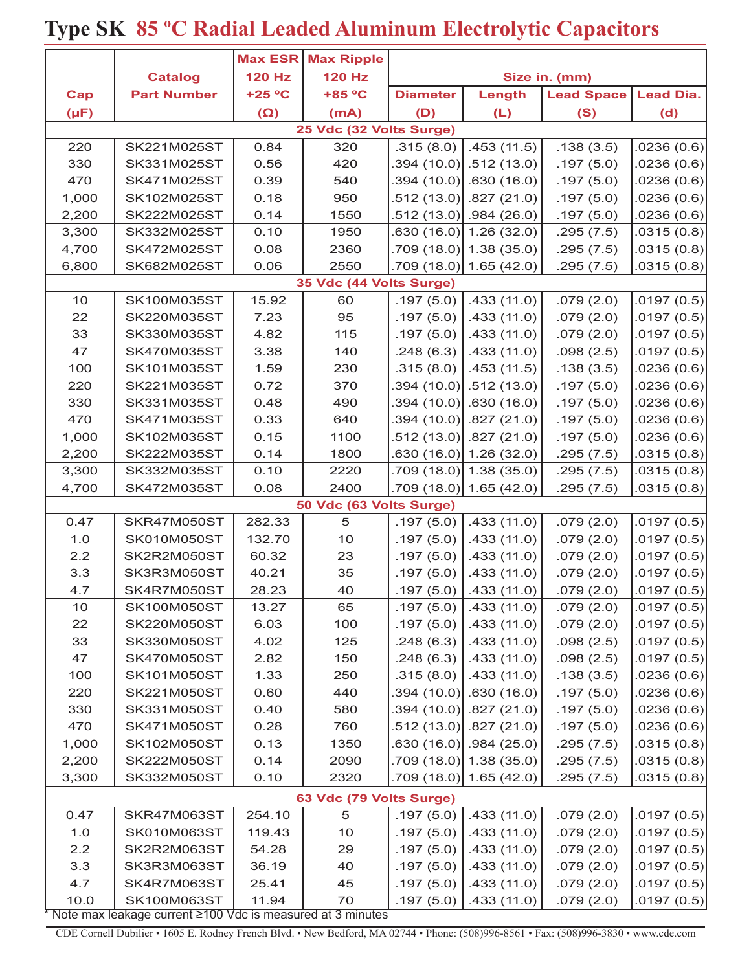|           |                                                              |               | <b>Max ESR Max Ripple</b> |                                                                    |                            |           |            |  |
|-----------|--------------------------------------------------------------|---------------|---------------------------|--------------------------------------------------------------------|----------------------------|-----------|------------|--|
|           | <b>Catalog</b>                                               | <b>120 Hz</b> | <b>120 Hz</b>             | Size in. (mm)                                                      |                            |           |            |  |
| Cap       | <b>Part Number</b>                                           | $+25$ °C      | +85 °C                    | Length<br><b>Lead Space</b><br><b>Lead Dia.</b><br><b>Diameter</b> |                            |           |            |  |
| $(\mu F)$ |                                                              | $(\Omega)$    | (mA)                      | (D)                                                                | (L)                        | (S)       | (d)        |  |
|           |                                                              |               | 25 Vdc (32 Volts Surge)   |                                                                    |                            |           |            |  |
| 220       | SK221M025ST                                                  | 0.84          | 320                       | .315(8.0)                                                          | .453(11.5)                 | .138(3.5) | .0236(0.6) |  |
| 330       | SK331M025ST                                                  | 0.56          | 420                       |                                                                    | .394 (10.0) 512 (13.0)     | .197(5.0) | .0236(0.6) |  |
| 470       | SK471M025ST                                                  | 0.39          | 540                       |                                                                    | $.394(10.0)$ .630 $(16.0)$ | .197(5.0) | .0236(0.6) |  |
| 1,000     | SK102M025ST                                                  | 0.18          | 950                       |                                                                    | .512 (13.0) .827 (21.0)    | .197(5.0) | .0236(0.6) |  |
| 2,200     | SK222M025ST                                                  | 0.14          | 1550                      |                                                                    | .512 (13.0) .984 (26.0)    | .197(5.0) | .0236(0.6) |  |
| 3,300     | SK332M025ST                                                  | 0.10          | 1950                      |                                                                    | .630 (16.0)  1.26 (32.0)   | .295(7.5) | .0315(0.8) |  |
| 4,700     | SK472M025ST                                                  | 0.08          | 2360                      |                                                                    | $.709(18.0)$ 1.38 (35.0)   | .295(7.5) | .0315(0.8) |  |
| 6,800     | SK682M025ST                                                  | 0.06          | 2550                      |                                                                    | .709 (18.0) 1.65 (42.0)    | .295(7.5) | .0315(0.8) |  |
|           |                                                              |               | 35 Vdc (44 Volts Surge)   |                                                                    |                            |           |            |  |
| 10        | SK100M035ST                                                  | 15.92         | 60                        | .197(5.0)                                                          | .433(11.0)                 | .079(2.0) | .0197(0.5) |  |
| 22        | SK220M035ST                                                  | 7.23          | 95                        | .197(5.0)                                                          | .433(11.0)                 | .079(2.0) | .0197(0.5) |  |
| 33        | SK330M035ST                                                  | 4.82          | 115                       | .197(5.0)                                                          | .433(11.0)                 | .079(2.0) | .0197(0.5) |  |
| 47        | SK470M035ST                                                  | 3.38          | 140                       | .248(6.3)                                                          | .433(11.0)                 | .098(2.5) | .0197(0.5) |  |
| 100       | SK101M035ST                                                  | 1.59          | 230                       | .315(8.0)                                                          | .453(11.5)                 | .138(3.5) | .0236(0.6) |  |
| 220       | SK221M035ST                                                  | 0.72          | 370                       | .394 (10.0)                                                        | .512(13.0)                 | .197(5.0) | .0236(0.6) |  |
| 330       | SK331M035ST                                                  | 0.48          | 490                       |                                                                    | .394 (10.0) .630 (16.0)    | .197(5.0) | .0236(0.6) |  |
| 470       | SK471M035ST                                                  | 0.33          | 640                       |                                                                    | $.394(10.0)$ .827 $(21.0)$ | .197(5.0) | .0236(0.6) |  |
| 1,000     | SK102M035ST                                                  | 0.15          | 1100                      |                                                                    | .512 (13.0) .827 (21.0)    | .197(5.0) | .0236(0.6) |  |
| 2,200     | SK222M035ST                                                  | 0.14          | 1800                      |                                                                    | $.630(16.0)$ 1.26 (32.0)   | .295(7.5) | .0315(0.8) |  |
| 3,300     | SK332M035ST                                                  | 0.10          | 2220                      |                                                                    | $.709(18.0)$ 1.38 (35.0)   | .295(7.5) | .0315(0.8) |  |
| 4,700     | SK472M035ST                                                  | 0.08          | 2400                      |                                                                    | .709 (18.0) 1.65 (42.0)    | .295(7.5) | .0315(0.8) |  |
|           |                                                              |               | 50 Vdc (63 Volts Surge)   |                                                                    |                            |           |            |  |
| 0.47      | SKR47M050ST                                                  | 282.33        | 5                         | .197(5.0)                                                          | .433(11.0)                 | .079(2.0) | .0197(0.5) |  |
| $1.0$     | <b>SK010M050ST</b>                                           | 132.70        | $10$                      | .197(5.0)                                                          | .433(11.0)                 | .079(2.0) | .0197(0.5) |  |
| 2.2       | SK2R2M050ST                                                  | 60.32         | 23                        | .197(5.0)                                                          | .433(11.0)                 | .079(2.0) | .0197(0.5) |  |
| 3.3       | SK3R3M050ST                                                  | 40.21         | 35                        | .197(5.0)                                                          | .433(11.0)                 | .079(2.0) | .0197(0.5) |  |
| 4.7       | SK4R7M050ST                                                  | 28.23         | 40                        | .197(5.0)                                                          | .433(11.0)                 | .079(2.0) | .0197(0.5) |  |
| 10        | <b>SK100M050ST</b>                                           | 13.27         | 65                        | .197(5.0)                                                          | .433 (11.0)                | .079(2.0) | .0197(0.5) |  |
| 22        | <b>SK220M050ST</b>                                           | 6.03          | 100                       | .197(5.0)                                                          | .433(11.0)                 | .079(2.0) | .0197(0.5) |  |
| 33        | SK330M050ST                                                  | 4.02          | 125                       | .248(6.3)                                                          | .433(11.0)                 | .098(2.5) | .0197(0.5) |  |
| 47        | <b>SK470M050ST</b>                                           | 2.82          | 150                       | .248(6.3)                                                          | .433(11.0)                 | .098(2.5) | .0197(0.5) |  |
| 100       | SK101M050ST                                                  | 1.33          | 250                       | .315(8.0)                                                          | .433(11.0)                 | .138(3.5) | .0236(0.6) |  |
| 220       | SK221M050ST                                                  | 0.60          | 440                       |                                                                    | .394 (10.0) .630 (16.0)    | .197(5.0) | .0236(0.6) |  |
| 330       | SK331M050ST                                                  | 0.40          | 580                       |                                                                    | .394 (10.0) .827 (21.0)    | .197(5.0) | .0236(0.6) |  |
| 470       | SK471M050ST                                                  | 0.28          | 760                       |                                                                    | .512 (13.0) .827 (21.0)    | .197(5.0) | .0236(0.6) |  |
| 1,000     | SK102M050ST                                                  | 0.13          | 1350                      |                                                                    | $.630(16.0)$ .984 (25.0)   | .295(7.5) | .0315(0.8) |  |
| 2,200     | SK222M050ST                                                  | 0.14          | 2090                      |                                                                    | $.709(18.0)$ 1.38 (35.0)   | .295(7.5) | .0315(0.8) |  |
| 3,300     | SK332M050ST                                                  | 0.10          | 2320                      |                                                                    | $.709(18.0)$ 1.65 (42.0)   | .295(7.5) | .0315(0.8) |  |
|           |                                                              |               | 63 Vdc (79 Volts Surge)   |                                                                    |                            |           |            |  |
| 0.47      | SKR47M063ST                                                  | 254.10        | 5                         | .197(5.0)                                                          | .433(11.0)                 | .079(2.0) | .0197(0.5) |  |
| $1.0$     | SK010M063ST                                                  | 119.43        | $10$                      | .197(5.0)                                                          | .433(11.0)                 | .079(2.0) | .0197(0.5) |  |
| 2.2       | SK2R2M063ST                                                  | 54.28         | 29                        | .197(5.0)                                                          | .433(11.0)                 | .079(2.0) | .0197(0.5) |  |
| 3.3       | SK3R3M063ST                                                  | 36.19         | 40                        | .197(5.0)                                                          | .433(11.0)                 | .079(2.0) | .0197(0.5) |  |
| 4.7       | SK4R7M063ST                                                  | 25.41         | 45                        | .197(5.0)                                                          | .433(11.0)                 | .079(2.0) | .0197(0.5) |  |
| 10.0      | SK100M063ST                                                  | 11.94         | 70                        | .197(5.0)                                                          | .433(11.0)                 | .079(2.0) | .0197(0.5) |  |
|           | * Note max leakage current ≥100 Vdc is measured at 3 minutes |               |                           |                                                                    |                            |           |            |  |

CDE Cornell Dubilier • 1605 E. Rodney French Blvd. • New Bedford, MA 02744 • Phone: (508)996-8561 • Fax: (508)996-3830 • www.cde.com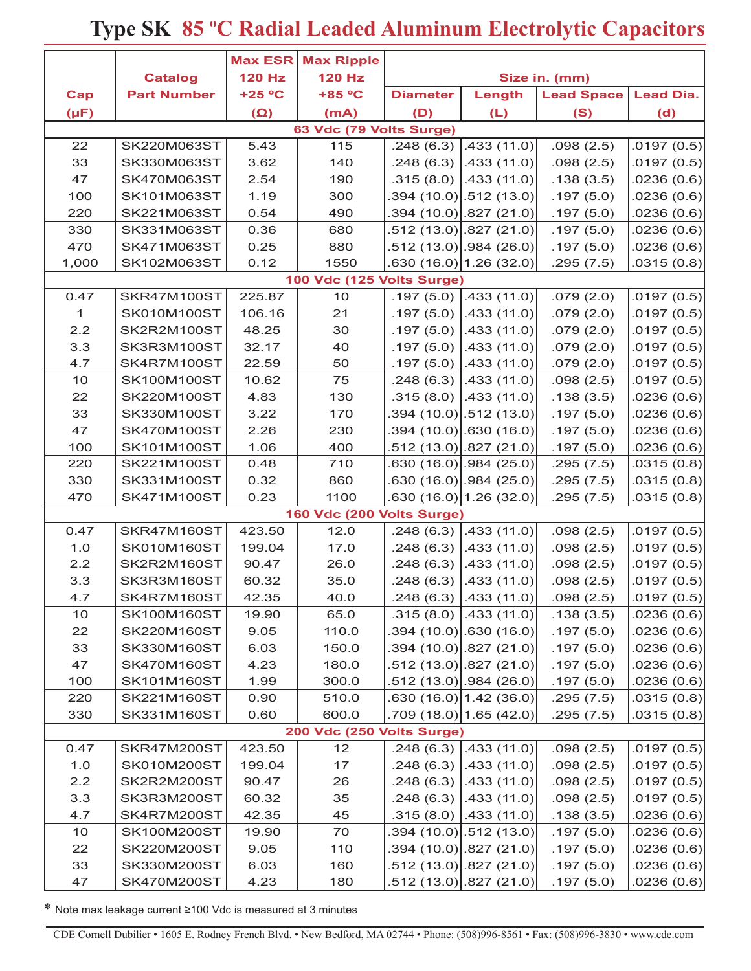|              |                    |               | <b>Max ESR Max Ripple</b> |                                                                    |                                |           |            |
|--------------|--------------------|---------------|---------------------------|--------------------------------------------------------------------|--------------------------------|-----------|------------|
|              | <b>Catalog</b>     | <b>120 Hz</b> | <b>120 Hz</b>             | Size in. (mm)                                                      |                                |           |            |
| Cap          | <b>Part Number</b> | $+25 °C$      | +85 °C                    | <b>Lead Space</b><br><b>Lead Dia.</b><br><b>Diameter</b><br>Length |                                |           |            |
| $(\mu F)$    |                    | $(\Omega)$    | (mA)                      | (D)                                                                | (L)                            | (S)       | (d)        |
|              |                    |               | 63 Vdc (79 Volts Surge)   |                                                                    |                                |           |            |
| 22           | SK220M063ST        | 5.43          | 115                       |                                                                    | $.248(6.3)$ .433 (11.0)        | .098(2.5) | .0197(0.5) |
| 33           | SK330M063ST        | 3.62          | 140                       | .248(6.3)                                                          | .433(11.0)                     | .098(2.5) | .0197(0.5) |
| 47           | <b>SK470M063ST</b> | 2.54          | 190                       |                                                                    | $.315(8.0)$ .433 (11.0)        | .138(3.5) | .0236(0.6) |
| 100          | SK101M063ST        | 1.19          | 300                       |                                                                    | .394 (10.0) 512 (13.0)         | .197(5.0) | .0236(0.6) |
| 220          | SK221M063ST        | 0.54          | 490                       |                                                                    | .394 (10.0) .827 (21.0)        | .197(5.0) | .0236(0.6) |
| 330          | SK331M063ST        | 0.36          | 680                       |                                                                    | .512 (13.0) $ .827$ (21.0) $ $ | .197(5.0) | .0236(0.6) |
| 470          | SK471M063ST        | 0.25          | 880                       |                                                                    | .512 (13.0) .984 (26.0)        | .197(5.0) | .0236(0.6) |
| 1,000        | SK102M063ST        | 0.12          | 1550                      |                                                                    | $.630(16.0)$ 1.26 (32.0)       | .295(7.5) | .0315(0.8) |
|              |                    |               | 100 Vdc (125 Volts Surge) |                                                                    |                                |           |            |
| 0.47         | SKR47M100ST        | 225.87        | 10                        |                                                                    | $.197(5.0)$ $.433(11.0)$       | .079(2.0) | .0197(0.5) |
| $\mathbf{1}$ | <b>SK010M100ST</b> | 106.16        | 21                        | .197 $(5.0)$                                                       | .433(11.0)                     | .079(2.0) | .0197(0.5) |
| 2.2          | SK2R2M100ST        | 48.25         | 30                        |                                                                    | $.197(5.0)$ $.433(11.0)$       | .079(2.0) | .0197(0.5) |
| 3.3          | SK3R3M100ST        | 32.17         | 40                        | .197 $(5.0)$                                                       | .433(11.0)                     | .079(2.0) | .0197(0.5) |
| 4.7          | SK4R7M100ST        | 22.59         | 50                        | .197(5.0)                                                          | .433(11.0)                     | .079(2.0) | .0197(0.5) |
| 10           | <b>SK100M100ST</b> | 10.62         | 75                        |                                                                    | $.248(6.3)$ .433 (11.0)        | .098(2.5) | .0197(0.5) |
| 22           | SK220M100ST        | 4.83          | 130                       |                                                                    | $.315(8.0)$ $.433(11.0)$       | .138(3.5) | .0236(0.6) |
| 33           | SK330M100ST        | 3.22          | 170                       |                                                                    | .394 (10.0) $ .512$ (13.0) $ $ | .197(5.0) | .0236(0.6) |
| 47           | <b>SK470M100ST</b> | 2.26          | 230                       |                                                                    | .394 (10.0) $ .630$ (16.0) $ $ | .197(5.0) | .0236(0.6) |
| 100          | SK101M100ST        | 1.06          | 400                       |                                                                    | .512 (13.0) .827 (21.0)        | .197(5.0) | .0236(0.6) |
| 220          | SK221M100ST        | 0.48          | 710                       |                                                                    | $.630(16.0)$ .984 $(25.0)$     | .295(7.5) | .0315(0.8) |
| 330          | SK331M100ST        | 0.32          | 860                       |                                                                    | $.630(16.0)$ .984 (25.0)       | .295(7.5) | .0315(0.8) |
| 470          | SK471M100ST        | 0.23          | 1100                      |                                                                    | .630 (16.0) 1.26 (32.0)        | .295(7.5) | .0315(0.8) |
|              |                    |               | 160 Vdc (200 Volts Surge) |                                                                    |                                |           |            |
| 0.47         | SKR47M160ST        | 423.50        | 12.0                      |                                                                    | $.248(6.3)$ .433 (11.0)        | .098(2.5) | .0197(0.5) |
| $1.0$        | <b>SK010M160ST</b> | 199.04        | 17.0                      | .248(6.3)                                                          | .433(11.0)                     | .098(2.5) | .0197(0.5) |
| 2.2          | SK2R2M160ST        | 90.47         | 26.0                      |                                                                    | $.248(6.3)$ .433 (11.0)        | .098(2.5) | .0197(0.5) |
| 3.3          | SK3R3M160ST        | 60.32         | 35.0                      |                                                                    | $.248(6.3)$ .433 (11.0)        | .098(2.5) | .0197(0.5) |
| 4.7          | SK4R7M160ST        | 42.35         | 40.0                      |                                                                    | $.248(6.3)$ .433 (11.0)        | .098(2.5) | .0197(0.5) |
| 10           | <b>SK100M160ST</b> | 19.90         | 65.0                      |                                                                    | $.315(8.0)$ $.433(11.0)$       | .138(3.5) | .0236(0.6) |
| 22           | <b>SK220M160ST</b> | 9.05          | 110.0                     |                                                                    | $.394(10.0)$ .630 $(16.0)$     | .197(5.0) | .0236(0.6) |
| 33           | SK330M160ST        | 6.03          | 150.0                     |                                                                    | $.394(10.0)$ .827 $(21.0)$     | .197(5.0) | .0236(0.6) |
| 47           | <b>SK470M160ST</b> | 4.23          | 180.0                     |                                                                    | .512 (13.0) .827 (21.0)        | .197(5.0) | .0236(0.6) |
| 100          | SK101M160ST        | 1.99          | 300.0                     |                                                                    | $.512(13.0)$ .984 $(26.0)$     | .197(5.0) | .0236(0.6) |
| 220          | SK221M160ST        | 0.90          | 510.0                     |                                                                    | $.630(16.0)$ 1.42 (36.0)       | .295(7.5) | .0315(0.8) |
| 330          | SK331M160ST        | 0.60          | 600.0                     |                                                                    | .709 (18.0) 1.65 (42.0)        | .295(7.5) | .0315(0.8) |
|              |                    |               | 200 Vdc (250 Volts Surge) |                                                                    |                                |           |            |
| 0.47         | SKR47M200ST        | 423.50        | 12                        |                                                                    | $.248(6.3)$ $.433(11.0)$       | .098(2.5) | .0197(0.5) |
| $1.0$        | <b>SK010M200ST</b> | 199.04        | 17                        |                                                                    | $.248(6.3)$ .433 (11.0)        | .098(2.5) | .0197(0.5) |
| 2.2          | SK2R2M200ST        | 90.47         | 26                        |                                                                    | $.248(6.3)$ .433 (11.0)        | .098(2.5) | .0197(0.5) |
| 3.3          | SK3R3M200ST        | 60.32         | 35                        | .248(6.3)                                                          | .433(11.0)                     | .098(2.5) | .0197(0.5) |
| 4.7          | SK4R7M200ST        | 42.35         | 45                        |                                                                    | $.315(8.0)$ $.433(11.0)$       | .138(3.5) | .0236(0.6) |
| 10           | <b>SK100M200ST</b> | 19.90         | 70                        |                                                                    | $.394(10.0)$ .512 $(13.0)$     | .197(5.0) | .0236(0.6) |
| 22           | SK220M200ST        | 9.05          | 110                       |                                                                    | .394 (10.0) .827 (21.0)        | .197(5.0) | .0236(0.6) |
| 33           | SK330M200ST        | 6.03          | 160                       |                                                                    | $.512(13.0)$ .827 $(21.0)$     | .197(5.0) | .0236(0.6) |
| 47           | <b>SK470M200ST</b> | 4.23          | 180                       |                                                                    | .512 (13.0) .827 (21.0)        | .197(5.0) | .0236(0.6) |

\* Note max leakage current ≥100 Vdc is measured at 3 minutes